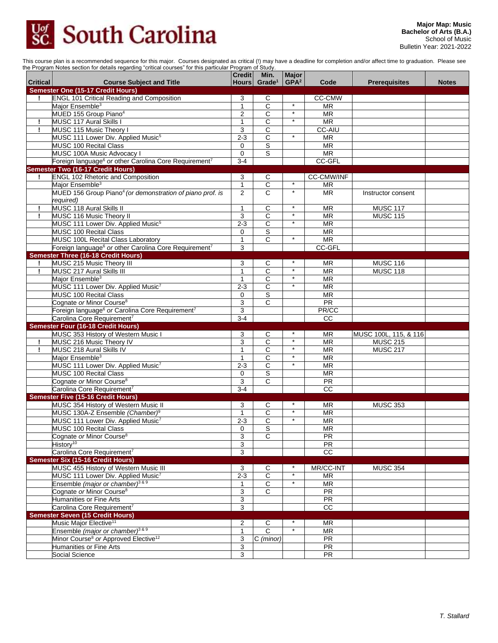## **South Carolina**  $\overline{SC}$ .

This course plan is a recommended sequence for this major. Courses designated as critical (!) may have a deadline for completion and/or affect time to graduation. Please see the Program Notes section for details regarding "critical courses" for this particular Program of Study.

| <b>Critical</b> | <b>Course Subject and Title</b>                                                    | Credit<br>Hours   | Min.<br>Grade <sup>1</sup> | <b>Major</b><br>GPA <sup>2</sup> | Code                     | <b>Prerequisites</b>  | <b>Notes</b> |
|-----------------|------------------------------------------------------------------------------------|-------------------|----------------------------|----------------------------------|--------------------------|-----------------------|--------------|
|                 | <b>Semester One (15-17 Credit Hours)</b>                                           |                   |                            |                                  |                          |                       |              |
| Ţ.              | <b>ENGL 101 Critical Reading and Composition</b>                                   | 3                 | С                          |                                  | <b>CC-CMW</b>            |                       |              |
|                 | Major Ensemble <sup>3</sup>                                                        | 1                 | C                          | $\star$                          | <b>MR</b>                |                       |              |
|                 | MUED 155 Group Piano <sup>4</sup>                                                  | 2                 | C                          | $^\star$                         | MR                       |                       |              |
| Ţ.              | <b>MUSC 117 Aural Skills I</b>                                                     | 1                 | $\overline{\text{c}}$      | $\ast$                           | <b>MR</b>                |                       |              |
| Ţ.              | MUSC 115 Music Theory I                                                            | 3                 | C                          |                                  | <b>CC-AIU</b>            |                       |              |
|                 | MUSC 111 Lower Div. Applied Music <sup>5</sup>                                     | $2 - 3$           | $\overline{\text{c}}$      | $\star$                          | $\overline{\mathsf{MR}}$ |                       |              |
|                 | <b>MUSC 100 Recital Class</b>                                                      | 0                 | S                          |                                  | <b>MR</b>                |                       |              |
|                 | MUSC 100A Music Advocacy I                                                         | $\mathbf 0$       | S                          |                                  | <b>MR</b>                |                       |              |
|                 | Foreign language <sup>6</sup> or other Carolina Core Requirement <sup>7</sup>      | $3 - 4$           |                            |                                  | CC-GFL                   |                       |              |
|                 | Semester Two (16-17 Credit Hours)                                                  |                   |                            |                                  |                          |                       |              |
|                 | <b>ENGL 102 Rhetoric and Composition</b>                                           | 3                 | C                          |                                  | <b>CC-CMW/INF</b>        |                       |              |
|                 | Major Ensemble <sup>3</sup>                                                        | $\mathbf{1}$      | $\overline{C}$             | $\star$                          | <b>MR</b>                |                       |              |
|                 | MUED 156 Group Piano <sup>4</sup> (or demonstration of piano prof. is<br>required) | 2                 | C                          | $\star$                          | <b>MR</b>                | Instructor consent    |              |
| Ţ               | <b>MUSC 118 Aural Skills II</b>                                                    | 1                 | С                          | $\ast$                           | <b>MR</b>                | <b>MUSC 117</b>       |              |
| Ţ               | MUSC 116 Music Theory II                                                           | 3                 | $\overline{c}$             | $\star$                          | <b>MR</b>                | <b>MUSC 115</b>       |              |
|                 | MUSC 111 Lower Div. Applied Music <sup>5</sup>                                     | $2 - 3$           | $\overline{c}$             | $\star$                          | <b>MR</b>                |                       |              |
|                 | <b>MUSC 100 Recital Class</b>                                                      | 0                 | $\overline{s}$             |                                  | <b>MR</b>                |                       |              |
|                 | MUSC 100L Recital Class Laboratory                                                 | $\mathbf{1}$      | $\overline{\text{c}}$      | $\star$                          | $\overline{\mathsf{MR}}$ |                       |              |
|                 | Foreign language <sup>6</sup> or other Carolina Core Requirement <sup>7</sup>      | 3                 |                            |                                  | CC-GFL                   |                       |              |
|                 | <b>Semester Three (16-18 Credit Hours)</b>                                         |                   |                            |                                  |                          |                       |              |
| Ţ               | MUSC 215 Music Theory III                                                          | 3                 | С                          |                                  | MR                       | <b>MUSC 116</b>       |              |
| Ţ               | <b>MUSC 217 Aural Skills III</b>                                                   | 1                 | $\overline{\text{c}}$      |                                  | <b>MR</b>                | <b>MUSC 118</b>       |              |
|                 | Major Ensemble <sup>3</sup>                                                        | 1                 | $\overline{\text{c}}$      | $\star$                          | $\overline{\mathsf{MR}}$ |                       |              |
|                 | MUSC 111 Lower Div. Applied Music7                                                 | $2 - 3$           | $\overline{C}$             | $\star$                          | <b>MR</b>                |                       |              |
|                 | MUSC 100 Recital Class                                                             | 0                 | S                          |                                  | <b>MR</b>                |                       |              |
|                 | Cognate or Minor Course <sup>8</sup>                                               | 3                 | C                          |                                  | <b>PR</b>                |                       |              |
|                 | Foreign language <sup>6</sup> or Carolina Core Requirement <sup>7</sup>            | 3                 |                            |                                  | PR/CC                    |                       |              |
|                 | Carolina Core Requirement <sup>7</sup>                                             | $3 - 4$           |                            |                                  | CC                       |                       |              |
|                 | <b>Semester Four (16-18 Credit Hours)</b>                                          |                   |                            |                                  |                          |                       |              |
|                 | MUSC 353 History of Western Music I                                                | 3                 | С                          |                                  | MR                       | MUSC 100L, 115, & 116 |              |
| Ţ.              | MUSC 216 Music Theory IV                                                           | 3                 | $\overline{\text{c}}$      | $\star$                          | $\overline{\mathsf{MR}}$ | <b>MUSC 215</b>       |              |
| Ţ               | MUSC 218 Aural Skills IV                                                           | 1                 | C                          | $\star$                          | <b>MR</b>                | <b>MUSC 217</b>       |              |
|                 | Major Ensemble <sup>3</sup>                                                        | $\mathbf{1}$      | C                          | $\star$                          | <b>MR</b>                |                       |              |
|                 | MUSC 111 Lower Div. Applied Music7                                                 | $2 - 3$           | C                          | $\star$                          | <b>MR</b>                |                       |              |
|                 | MUSC 100 Recital Class                                                             | 0                 | S                          |                                  | <b>MR</b>                |                       |              |
|                 | Cognate or Minor Course <sup>8</sup>                                               | 3                 | $\overline{C}$             |                                  | <b>PR</b>                |                       |              |
|                 | Carolina Core Requirement <sup>7</sup>                                             | $3-4$             |                            |                                  | $\overline{cc}$          |                       |              |
|                 | Semester Five (15-16 Credit Hours)                                                 |                   |                            |                                  |                          |                       |              |
|                 | MUSC 354 History of Western Music II                                               | 3                 | С                          |                                  | <b>MR</b>                | <b>MUSC 353</b>       |              |
|                 | MUSC 130A-Z Ensemble (Chamber) <sup>9</sup>                                        | 1                 | C                          | $\star$                          | <b>MR</b>                |                       |              |
|                 | MUSC 111 Lower Div. Applied Music <sup>7</sup>                                     | $2 - 3$           | С                          | $\star$                          | <b>MR</b>                |                       |              |
|                 | <b>MUSC 100 Recital Class</b>                                                      | $\mathbf 0$       | S                          |                                  | <b>MR</b>                |                       |              |
|                 | Cognate <i>or</i> Minor Course°                                                    | 3                 | С                          |                                  | PR.                      |                       |              |
|                 | History <sup>10</sup>                                                              | 3                 |                            |                                  | PR                       |                       |              |
|                 | Carolina Core Requirement <sup>7</sup>                                             | 3                 |                            |                                  | cc                       |                       |              |
|                 | <b>Semester Six (15-16 Credit Hours)</b>                                           |                   |                            |                                  |                          |                       |              |
|                 | MUSC 455 History of Western Music III                                              | 3                 | C                          |                                  | MR/CC-INT                | <b>MUSC 354</b>       |              |
|                 | MUSC 111 Lower Div. Applied Music7                                                 | $2 - 3$           | $\overline{C}$             | $\star$                          | <b>MR</b>                |                       |              |
|                 | Ensemble (major or chamber) <sup>3 &amp; 9</sup>                                   | $\mathbf{1}$      | $\overline{C}$             |                                  | <b>MR</b>                |                       |              |
|                 | Cognate or Minor Course <sup>8</sup>                                               | 3                 | $\overline{c}$             |                                  | PR                       |                       |              |
|                 | Humanities or Fine Arts                                                            | 3                 |                            |                                  | PR                       |                       |              |
|                 | Carolina Core Requirement <sup>7</sup>                                             | 3                 |                            |                                  | $\overline{cc}$          |                       |              |
|                 | <b>Semester Seven (15 Credit Hours)</b><br>Music Major Elective <sup>11</sup>      |                   |                            |                                  |                          |                       |              |
|                 | Ensemble (major or chamber) <sup>3 &amp; 9</sup>                                   | 2<br>$\mathbf{1}$ | С<br>$\overline{c}$        | $\star$                          | <b>MR</b><br><b>MR</b>   |                       |              |
|                 | Minor Course <sup>8</sup> or Approved Elective <sup>12</sup>                       | 3                 | C (minor)                  |                                  | PR                       |                       |              |
|                 | Humanities or Fine Arts                                                            | 3                 |                            |                                  | <b>PR</b>                |                       |              |
|                 | Social Science                                                                     | 3                 |                            |                                  | PR                       |                       |              |
|                 |                                                                                    |                   |                            |                                  |                          |                       |              |